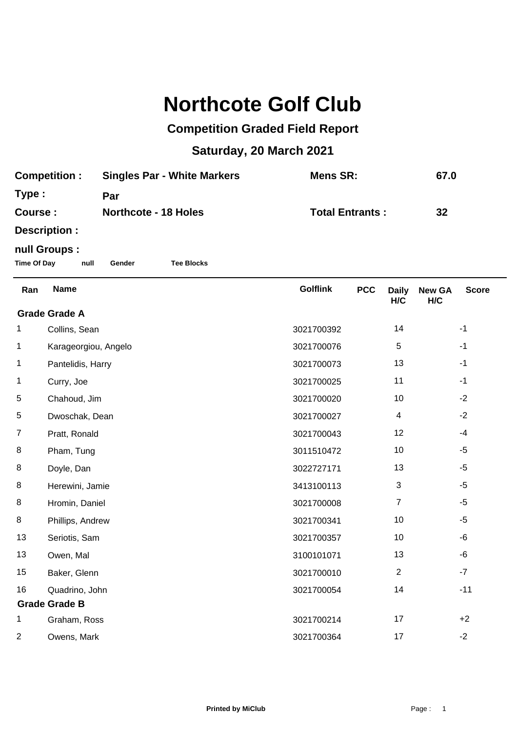## **Northcote Golf Club**

## **Competition Graded Field Report**

## **Saturday, 20 March 2021**

| <b>Competition:</b> | <b>Singles Par - White Markers</b> | Mens SR:               | 67.0 |
|---------------------|------------------------------------|------------------------|------|
| Type :              | Par                                |                        |      |
| Course :            | <b>Northcote - 18 Holes</b>        | <b>Total Entrants:</b> | 32   |
| Description :       |                                    |                        |      |

## **null Groups :**

**Time Of Day null Gender Tee Blocks**

| Ran                  | <b>Name</b>          | <b>Golflink</b> | <b>PCC</b> | <b>Daily</b><br>H/C | <b>New GA</b><br>H/C | <b>Score</b> |
|----------------------|----------------------|-----------------|------------|---------------------|----------------------|--------------|
| <b>Grade Grade A</b> |                      |                 |            |                     |                      |              |
| 1                    | Collins, Sean        | 3021700392      |            | 14                  |                      | $-1$         |
| 1                    | Karageorgiou, Angelo | 3021700076      |            | $\sqrt{5}$          |                      | $-1$         |
| 1                    | Pantelidis, Harry    | 3021700073      |            | 13                  |                      | $-1$         |
| 1                    | Curry, Joe           | 3021700025      |            | 11                  |                      | $-1$         |
| 5                    | Chahoud, Jim         | 3021700020      |            | 10                  |                      | $-2$         |
| 5                    | Dwoschak, Dean       | 3021700027      |            | $\overline{4}$      |                      | $-2$         |
| $\overline{7}$       | Pratt, Ronald        | 3021700043      |            | 12                  |                      | $-4$         |
| 8                    | Pham, Tung           | 3011510472      |            | 10                  |                      | -5           |
| 8                    | Doyle, Dan           | 3022727171      |            | 13                  |                      | $-5$         |
| 8                    | Herewini, Jamie      | 3413100113      |            | 3                   |                      | $-5$         |
| 8                    | Hromin, Daniel       | 3021700008      |            | $\overline{7}$      |                      | $-5$         |
| 8                    | Phillips, Andrew     | 3021700341      |            | 10                  |                      | $-5$         |
| 13                   | Seriotis, Sam        | 3021700357      |            | 10                  |                      | -6           |
| 13                   | Owen, Mal            | 3100101071      |            | 13                  |                      | -6           |
| 15                   | Baker, Glenn         | 3021700010      |            | $\overline{2}$      |                      | $-7$         |
| 16                   | Quadrino, John       | 3021700054      |            | 14                  |                      | $-11$        |
| <b>Grade Grade B</b> |                      |                 |            |                     |                      |              |
| 1                    | Graham, Ross         | 3021700214      |            | 17                  |                      | $+2$         |
| $\overline{2}$       | Owens, Mark          | 3021700364      |            | 17                  |                      | $-2$         |